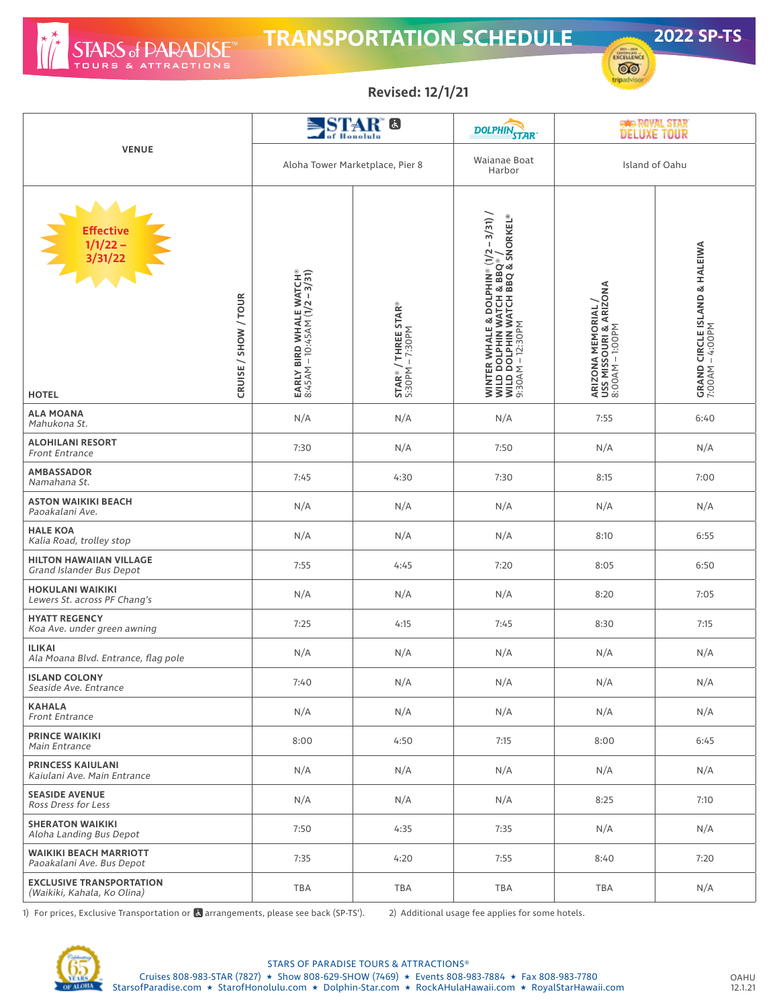

## **TRANSPORTATION SCHEDULE 2022 SP-TS**



**Revised: 12/1/21**

|                                                                          |                                                          | <b>STAR</b> <sup>®</sup><br>of Honolulu | <b>DOLPHINSTAR</b>                                                                                                                        | <b>GAR ROYAL STAR</b><br>DELUXE TOUR                            |                                                  |  |
|--------------------------------------------------------------------------|----------------------------------------------------------|-----------------------------------------|-------------------------------------------------------------------------------------------------------------------------------------------|-----------------------------------------------------------------|--------------------------------------------------|--|
| <b>VENUE</b>                                                             | Aloha Tower Marketplace, Pier 8                          |                                         | Waianae Boat<br>Harbor                                                                                                                    | Island of Oahu                                                  |                                                  |  |
| Effective<br>1/1/22 –<br>3/31/22<br>CRUISE / SHOW / TOUR<br><b>HOTEL</b> | EARLY BIRD WHALE WATCH®<br>8:45AM – 10:45AM (1/2 – 3/31) | STAR® / THREE STAR®<br>5:30PM – 7:30PM  | <b>WINTER WHALE &amp; DOLPHIN® (1/2 – 3/31) /</b><br>WILD DOLPHIN WATCH & BBQ® /<br>WILD DOLPHIN WATCH BBQ & SNORKEL®<br>9:30AM – 12:30PM | ARIZONA MEMORIAL /<br>USS MISSOURI & ARIZONA<br>8:00AM – 1:00PM | GRAND CIRCLE ISLAND & HALEIWA<br>7:00AM – 4:00PM |  |
| <b>ALA MOANA</b><br>Mahukona St.                                         | N/A                                                      | N/A                                     | N/A                                                                                                                                       | 7:55                                                            | 6:40                                             |  |
| <b>ALOHILANI RESORT</b><br>Front Entrance                                | 7:30                                                     | N/A                                     | 7:50                                                                                                                                      | N/A                                                             | N/A                                              |  |
| <b>AMBASSADOR</b><br>Namahana St.                                        | 7:45                                                     | 4:30                                    | 7:30                                                                                                                                      | 8:15                                                            | 7:00                                             |  |
| <b>ASTON WAIKIKI BEACH</b><br>Paoakalani Ave.                            | N/A                                                      | N/A                                     | N/A                                                                                                                                       | N/A                                                             | N/A                                              |  |
| <b>HALE KOA</b><br>Kalia Road, trolley stop                              | N/A                                                      | N/A                                     | N/A                                                                                                                                       | 8:10                                                            | 6:55                                             |  |
| <b>HILTON HAWAIIAN VILLAGE</b><br>Grand Islander Bus Depot               | 7:55                                                     | 4:45                                    | 7:20                                                                                                                                      | 8:05                                                            | 6:50                                             |  |
| <b>HOKULANI WAIKIKI</b><br>Lewers St. across PF Chang's                  | N/A                                                      | N/A                                     | N/A                                                                                                                                       | 8:20                                                            | 7:05                                             |  |
| <b>HYATT REGENCY</b><br>Koa Ave. under green awning                      | 7:25                                                     | 4:15                                    | 7:45                                                                                                                                      | 8:30                                                            | 7:15                                             |  |
| <b>ILIKAI</b><br>Ala Moana Blvd. Entrance, flag pole                     | N/A                                                      | N/A                                     | N/A                                                                                                                                       | N/A                                                             | N/A                                              |  |
| <b>ISLAND COLONY</b><br>Seaside Ave. Entrance                            | 7:40                                                     | N/A                                     | N/A                                                                                                                                       | N/A                                                             | N/A                                              |  |
| <b>KAHALA</b><br>Front Entrance                                          | N/A                                                      | N/A                                     | N/A                                                                                                                                       | N/A                                                             | N/A                                              |  |
| <b>PRINCE WAIKIKI</b><br>Main Entrance                                   | 8:00                                                     | 4:50                                    | 7:15                                                                                                                                      | 8:00                                                            | 6:45                                             |  |
| <b>PRINCESS KAIULANI</b><br>Kaiulani Ave. Main Entrance                  | N/A                                                      | N/A                                     | N/A                                                                                                                                       | N/A                                                             | N/A                                              |  |
| <b>SEASIDE AVENUE</b><br>Ross Dress for Less                             | N/A                                                      | N/A                                     | N/A                                                                                                                                       | 8:25                                                            | 7:10                                             |  |
| <b>SHERATON WAIKIKI</b><br>Aloha Landing Bus Depot                       | 7:50                                                     | 4:35                                    | 7:35                                                                                                                                      | N/A                                                             | N/A                                              |  |
| <b>WAIKIKI BEACH MARRIOTT</b><br>Paoakalani Ave. Bus Depot               | 7:35                                                     | 4:20                                    | 7:55                                                                                                                                      | 8:40                                                            | 7:20                                             |  |
| <b>EXCLUSIVE TRANSPORTATION</b><br>(Waikiki, Kahala, Ko Olina)           | <b>TBA</b>                                               | TBA                                     | TBA                                                                                                                                       | TBA                                                             | N/A                                              |  |

1) For prices, Exclusive Transportation or **a** arrangements, please see back (SP-TS'). 2) Additional usage fee applies for some hotels.